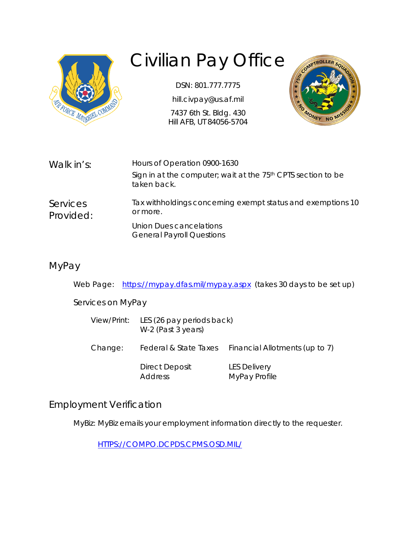

# Civilian Pay Office

DSN: 801.777.7775

hill.civpay@us.af.mil

7437 6th St. Bldg. 430 Hill AFB, UT 84056-5704



| Walk in's:            | Hours of Operation 0900-1630                                                            |  |
|-----------------------|-----------------------------------------------------------------------------------------|--|
|                       | Sign in at the computer; wait at the 75 <sup>th</sup> CPTS section to be<br>taken back. |  |
| Services<br>Provided: | Tax withholdings concerning exempt status and exemptions 10<br>or more.                 |  |
|                       | Union Dues cancelations<br><b>General Payroll Questions</b>                             |  |
|                       |                                                                                         |  |

### MyPay

Web Page: <https://mypay.dfas.mil/mypay.aspx>(takes 30 days to be set up)

Services on MyPay

| View/Print: | LES (26 pay periods back)<br>W-2 (Past 3 years) |                                      |
|-------------|-------------------------------------------------|--------------------------------------|
| Change:     | Federal & State Taxes                           | Financial Allotments (up to 7)       |
|             | Direct Deposit<br><b>Address</b>                | <b>LES Delivery</b><br>MyPay Profile |

#### Employment Verification

MyBiz: MyBiz emails your employment information directly to the requester.

[HTTPS://COMPO.DCPDS.CPMS.OSD.MIL/](https://compo.dcpds.cpms.osd.mil/)